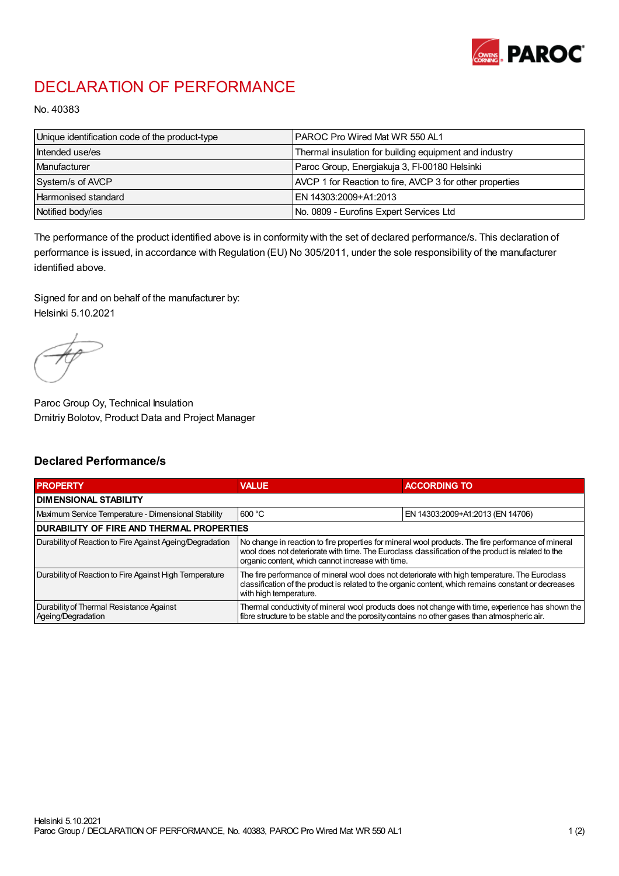

## DECLARATION OF PERFORMANCE

No. 40383

| Unique identification code of the product-type | <b>IPAROC Pro Wired Mat WR 550 AL1</b>                   |
|------------------------------------------------|----------------------------------------------------------|
| Intended use/es                                | Thermal insulation for building equipment and industry   |
| Manufacturer                                   | Paroc Group, Energiakuja 3, FI-00180 Helsinki            |
| System/s of AVCP                               | AVCP 1 for Reaction to fire, AVCP 3 for other properties |
| Harmonised standard                            | IEN 14303:2009+A1:2013                                   |
| Notified body/ies                              | No. 0809 - Eurofins Expert Services Ltd                  |

The performance of the product identified above is in conformity with the set of declared performance/s. This declaration of performance is issued, in accordance with Regulation (EU) No 305/2011, under the sole responsibility of the manufacturer identified above.

Signed for and on behalf of the manufacturer by: Helsinki 5.10.2021

Paroc Group Oy, Technical Insulation Dmitriy Bolotov, Product Data and Project Manager

## Declared Performance/s

| <b>PROPERTY</b>                                                | <b>VALUE</b>                                                                                                                                                                                                                                                   | <b>ACCORDING TO</b>              |  |
|----------------------------------------------------------------|----------------------------------------------------------------------------------------------------------------------------------------------------------------------------------------------------------------------------------------------------------------|----------------------------------|--|
| <b>DIMENSIONAL STABILITY</b>                                   |                                                                                                                                                                                                                                                                |                                  |  |
| Maximum Service Temperature - Dimensional Stability            | 600 °C                                                                                                                                                                                                                                                         | EN 14303:2009+A1:2013 (EN 14706) |  |
| <b>DURABILITY OF FIRE AND THERMAL PROPERTIES</b>               |                                                                                                                                                                                                                                                                |                                  |  |
| Durability of Reaction to Fire Against Ageing/Degradation      | No change in reaction to fire properties for mineral wool products. The fire performance of mineral<br>wool does not deteriorate with time. The Euroclass classification of the product is related to the<br>organic content, which cannot increase with time. |                                  |  |
| Durability of Reaction to Fire Against High Temperature        | The fire performance of mineral wool does not deteriorate with high temperature. The Euroclass<br>classification of the product is related to the organic content, which remains constant or decreases<br>with high temperature.                               |                                  |  |
| Durability of Thermal Resistance Against<br>Ageing/Degradation | Thermal conductivity of mineral wool products does not change with time, experience has shown the<br>fibre structure to be stable and the porosity contains no other gases than atmospheric air.                                                               |                                  |  |